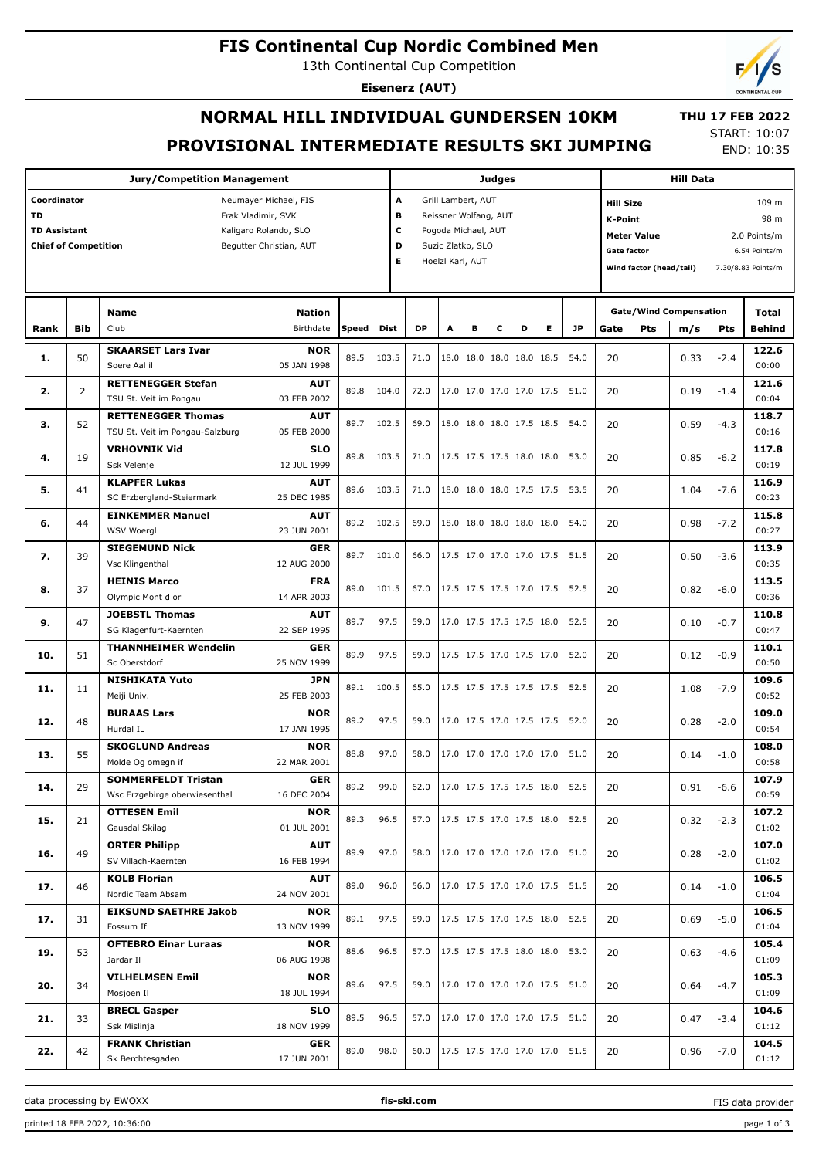# **FIS Continental Cup Nordic Combined Men**

13th Continental Cup Competition

**Eisenerz (AUT)**

# **NORMAL HILL INDIVIDUAL GUNDERSEN 10KM PROVISIONAL INTERMEDIATE RESULTS SKI JUMPING**

 **THU 17 FEB 2022** START: 10:07

END: 10:35

| <b>Jury/Competition Management</b>                                                                                                                                                |                |                                                             |                            |       |                  | Judges                                      |                                                                    |   |   |                          |                                               | <b>Hill Data</b> |                                    |                    |                                      |        |                               |
|-----------------------------------------------------------------------------------------------------------------------------------------------------------------------------------|----------------|-------------------------------------------------------------|----------------------------|-------|------------------|---------------------------------------------|--------------------------------------------------------------------|---|---|--------------------------|-----------------------------------------------|------------------|------------------------------------|--------------------|--------------------------------------|--------|-------------------------------|
| Coordinator<br>Neumayer Michael, FIS<br><b>TD</b><br>Frak Vladimir, SVK<br><b>TD Assistant</b><br>Kaligaro Rolando, SLO<br><b>Chief of Competition</b><br>Begutter Christian, AUT |                |                                                             |                            |       | A<br>в<br>c<br>D |                                             | Grill Lambert, AUT<br>Reissner Wolfang, AUT<br>Pogoda Michael, AUT |   |   |                          |                                               |                  | <b>Hill Size</b><br><b>K-Point</b> | <b>Meter Value</b> |                                      |        | 109 m<br>98 m<br>2.0 Points/m |
|                                                                                                                                                                                   |                |                                                             |                            |       |                  | Suzic Zlatko, SLO<br>E.<br>Hoelzl Karl, AUT |                                                                    |   |   |                          | <b>Gate factor</b><br>Wind factor (head/tail) |                  |                                    |                    | 6.54 Points/m<br>7.30/8.83 Points/m  |        |                               |
| Rank                                                                                                                                                                              | <b>Bib</b>     | <b>Name</b><br>Club                                         | <b>Nation</b><br>Birthdate | Speed | Dist             | <b>DP</b>                                   | A                                                                  | в | с | D                        | E                                             | <b>JP</b>        | Gate                               | Pts                | <b>Gate/Wind Compensation</b><br>m/s | Pts    | Total<br><b>Behind</b>        |
|                                                                                                                                                                                   |                |                                                             |                            |       |                  |                                             |                                                                    |   |   |                          |                                               |                  |                                    |                    |                                      |        |                               |
| 1.                                                                                                                                                                                | 50             | <b>SKAARSET Lars Ivar</b><br>Soere Aal il                   | <b>NOR</b><br>05 JAN 1998  | 89.5  | 103.5            | 71.0                                        |                                                                    |   |   | 18.0 18.0 18.0 18.0 18.5 |                                               | 54.0             | 20                                 |                    | 0.33                                 | $-2.4$ | 122.6<br>00:00                |
| 2.                                                                                                                                                                                | $\overline{2}$ | <b>RETTENEGGER Stefan</b><br>TSU St. Veit im Pongau         | <b>AUT</b><br>03 FEB 2002  | 89.8  | 104.0            | 72.0                                        |                                                                    |   |   | 17.0 17.0 17.0 17.0 17.5 |                                               | 51.0             | 20                                 |                    | 0.19                                 | $-1.4$ | 121.6<br>00:04                |
|                                                                                                                                                                                   |                | <b>RETTENEGGER Thomas</b>                                   | <b>AUT</b>                 |       |                  |                                             |                                                                    |   |   |                          |                                               |                  |                                    |                    |                                      |        | 118.7                         |
| з.                                                                                                                                                                                | 52             | TSU St. Veit im Pongau-Salzburg                             | 05 FEB 2000                | 89.7  | 102.5            | 69.0                                        |                                                                    |   |   | 18.0 18.0 18.0 17.5 18.5 |                                               | 54.0             | 20                                 |                    | 0.59                                 | $-4.3$ | 00:16                         |
| 4.                                                                                                                                                                                | 19             | <b>VRHOVNIK Vid</b>                                         | <b>SLO</b>                 | 89.8  | 103.5            | 71.0                                        |                                                                    |   |   | 17.5 17.5 17.5 18.0 18.0 |                                               | 53.0             | 20                                 |                    | 0.85                                 | $-6.2$ | 117.8                         |
|                                                                                                                                                                                   |                | Ssk Velenje                                                 | 12 JUL 1999                |       |                  |                                             |                                                                    |   |   |                          |                                               |                  |                                    |                    |                                      |        | 00:19                         |
| 5.                                                                                                                                                                                | 41             | <b>KLAPFER Lukas</b><br>SC Erzbergland-Steiermark           | <b>AUT</b><br>25 DEC 1985  | 89.6  | 103.5            | 71.0                                        |                                                                    |   |   | 18.0 18.0 18.0 17.5 17.5 |                                               | 53.5             | 20                                 |                    | 1.04                                 | $-7.6$ | 116.9<br>00:23                |
| 6.                                                                                                                                                                                | 44             | <b>EINKEMMER Manuel</b><br><b>WSV Woergl</b>                | <b>AUT</b><br>23 JUN 2001  | 89.2  | 102.5            | 69.0                                        |                                                                    |   |   | 18.0 18.0 18.0 18.0 18.0 |                                               | 54.0             | 20                                 |                    | 0.98                                 | $-7.2$ | 115.8<br>00:27                |
| 7.                                                                                                                                                                                | 39             | <b>SIEGEMUND Nick</b><br>Vsc Klingenthal                    | <b>GER</b><br>12 AUG 2000  | 89.7  | 101.0            | 66.0                                        |                                                                    |   |   | 17.5 17.0 17.0 17.0 17.5 |                                               | 51.5             | 20                                 |                    | 0.50                                 | $-3.6$ | 113.9<br>00:35                |
| 8.                                                                                                                                                                                | 37             | <b>HEINIS Marco</b>                                         | <b>FRA</b><br>14 APR 2003  | 89.0  | 101.5            | 67.0                                        |                                                                    |   |   | 17.5 17.5 17.5 17.0 17.5 |                                               | 52.5             | 20                                 |                    | 0.82                                 | $-6.0$ | 113.5<br>00:36                |
|                                                                                                                                                                                   |                | Olympic Mont d or<br><b>JOEBSTL Thomas</b>                  | <b>AUT</b>                 |       |                  |                                             |                                                                    |   |   |                          |                                               |                  |                                    |                    |                                      |        | 110.8                         |
| 9.                                                                                                                                                                                | 47             | SG Klagenfurt-Kaernten                                      | 22 SEP 1995                | 89.7  | 97.5             | 59.0                                        |                                                                    |   |   | 17.0 17.5 17.5 17.5 18.0 |                                               | 52.5             | 20                                 |                    | 0.10                                 | $-0.7$ | 00:47                         |
|                                                                                                                                                                                   |                | <b>THANNHEIMER Wendelin</b>                                 | <b>GER</b>                 |       |                  |                                             |                                                                    |   |   |                          |                                               |                  |                                    |                    |                                      |        | 110.1                         |
| 10.                                                                                                                                                                               | 51             | Sc Oberstdorf                                               | 25 NOV 1999                | 89.9  | 97.5             | 59.0                                        |                                                                    |   |   | 17.5 17.5 17.0 17.5 17.0 |                                               | 52.0             | 20                                 |                    | 0.12                                 | $-0.9$ | 00:50                         |
| 11.                                                                                                                                                                               | 11             | <b>NISHIKATA Yuto</b><br>Meiji Univ.                        | <b>JPN</b><br>25 FEB 2003  | 89.1  | 100.5            | 65.0                                        |                                                                    |   |   | 17.5 17.5 17.5 17.5 17.5 |                                               | 52.5             | 20                                 |                    | 1.08                                 | $-7.9$ | 109.6<br>00:52                |
| 12.                                                                                                                                                                               | 48             | <b>BURAAS Lars</b><br>Hurdal IL                             | <b>NOR</b><br>17 JAN 1995  | 89.2  | 97.5             | 59.0                                        |                                                                    |   |   | 17.0 17.5 17.0 17.5 17.5 |                                               | 52.0             | 20                                 |                    | 0.28                                 | $-2.0$ | 109.0<br>00:54                |
| 13.                                                                                                                                                                               | 55             | <b>SKOGLUND Andreas</b>                                     | <b>NOR</b>                 | 88.8  | 97.0             | 58.0                                        |                                                                    |   |   | 17.0 17.0 17.0 17.0 17.0 |                                               | 51.0             | 20                                 |                    | 0.14                                 | $-1.0$ | 108.0                         |
|                                                                                                                                                                                   |                | Molde Og omegn if                                           | 22 MAR 2001                |       |                  |                                             |                                                                    |   |   |                          |                                               |                  |                                    |                    |                                      |        | 00:58                         |
| 14.                                                                                                                                                                               | 29             | <b>SOMMERFELDT Tristan</b><br>Wsc Erzgebirge oberwiesenthal | GER<br>16 DEC 2004         |       | 89.2 99.0        | 62.0 17.0 17.5 17.5 17.5 18.0               |                                                                    |   |   |                          |                                               | 52.5             | 20                                 |                    | 0.91                                 | $-6.6$ | 107.9<br>00:59                |
| 15.                                                                                                                                                                               | 21             | <b>OTTESEN Emil</b><br>Gausdal Skilag                       | <b>NOR</b><br>01 JUL 2001  | 89.3  | 96.5             | 57.0   17.5 17.5 17.0 17.5 18.0             |                                                                    |   |   |                          |                                               | 52.5             | 20                                 |                    | 0.32                                 | $-2.3$ | 107.2<br>01:02                |
| 16.                                                                                                                                                                               | 49             | <b>ORTER Philipp</b><br>SV Villach-Kaernten                 | <b>AUT</b><br>16 FEB 1994  | 89.9  | 97.0             | 58.0                                        |                                                                    |   |   | 17.0 17.0 17.0 17.0 17.0 |                                               | 51.0             | 20                                 |                    | 0.28                                 | $-2.0$ | 107.0<br>01:02                |
| 17.                                                                                                                                                                               | 46             | <b>KOLB Florian</b><br>Nordic Team Absam                    | <b>AUT</b><br>24 NOV 2001  | 89.0  | 96.0             | 56.0                                        |                                                                    |   |   | 17.0 17.5 17.0 17.0 17.5 |                                               | 51.5             | 20                                 |                    | 0.14                                 | $-1.0$ | 106.5<br>01:04                |
|                                                                                                                                                                                   |                | <b>EIKSUND SAETHRE Jakob</b>                                | <b>NOR</b>                 |       |                  |                                             |                                                                    |   |   |                          |                                               |                  |                                    |                    |                                      |        | 106.5                         |
| 17.                                                                                                                                                                               | 31             | Fossum If                                                   | 13 NOV 1999                | 89.1  | 97.5             | 59.0                                        |                                                                    |   |   | 17.5 17.5 17.0 17.5 18.0 |                                               | 52.5             | 20                                 |                    | 0.69                                 | $-5.0$ | 01:04                         |
| 19.                                                                                                                                                                               | 53             | <b>OFTEBRO Einar Luraas</b><br>Jardar II                    | <b>NOR</b><br>06 AUG 1998  | 88.6  | 96.5             | 57.0                                        |                                                                    |   |   | 17.5 17.5 17.5 18.0 18.0 |                                               | 53.0             | 20                                 |                    | 0.63                                 | $-4.6$ | 105.4<br>01:09                |
| 20.                                                                                                                                                                               | 34             | <b>VILHELMSEN Emil</b><br>Mosjoen Il                        | <b>NOR</b><br>18 JUL 1994  | 89.6  | 97.5             | 59.0                                        |                                                                    |   |   | 17.0 17.0 17.0 17.0 17.5 |                                               | 51.0             | 20                                 |                    | 0.64                                 | $-4.7$ | 105.3<br>01:09                |
| 21.                                                                                                                                                                               | 33             | <b>BRECL Gasper</b>                                         | <b>SLO</b>                 | 89.5  | 96.5             | 57.0                                        |                                                                    |   |   | 17.0 17.0 17.0 17.0 17.5 |                                               | 51.0             | 20                                 |                    | 0.47                                 | $-3.4$ | 104.6                         |
|                                                                                                                                                                                   |                | Ssk Mislinja                                                | 18 NOV 1999                |       |                  |                                             |                                                                    |   |   |                          |                                               |                  |                                    |                    |                                      |        | 01:12                         |
| 22.                                                                                                                                                                               | 42             | <b>FRANK Christian</b><br>Sk Berchtesgaden                  | <b>GER</b><br>17 JUN 2001  | 89.0  | 98.0             | 60.0                                        |                                                                    |   |   | 17.5 17.5 17.0 17.0 17.0 |                                               | 51.5             | 20                                 |                    | 0.96                                 | $-7.0$ | 104.5<br>01:12                |

FIS data provider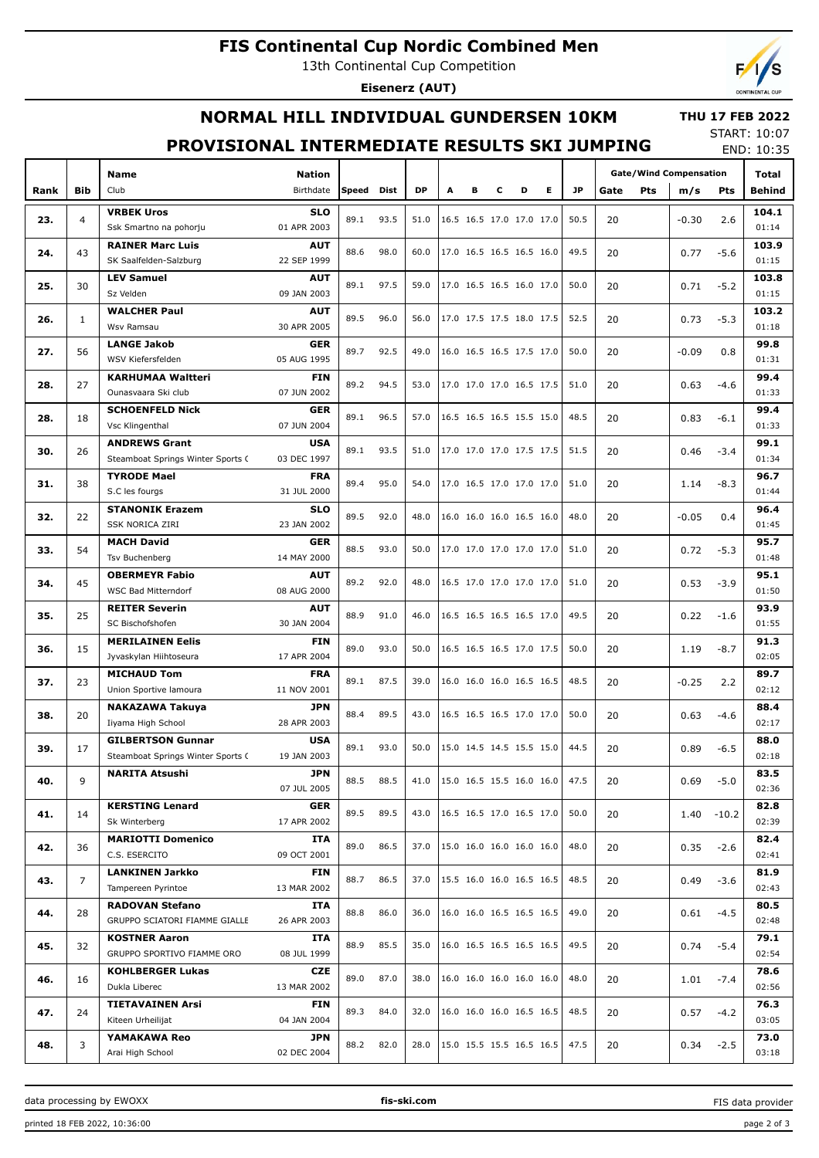# **FIS Continental Cup Nordic Combined Men**

13th Continental Cup Competition

**Eisenerz (AUT)**



## **NORMAL HILL INDIVIDUAL GUNDERSEN 10KM**

#### **THU 17 FEB 2022**

## **PROVISIONAL INTERMEDIATE RESULTS SKI JUMPING**

START: 10:07 END: 10:35

|      |                | Name                                                    | <b>Nation</b>       |       |      |           |                          |                          |   |   |   |      | <b>Gate/Wind Compensation</b> | Total   |         |               |
|------|----------------|---------------------------------------------------------|---------------------|-------|------|-----------|--------------------------|--------------------------|---|---|---|------|-------------------------------|---------|---------|---------------|
| Rank | Bib            | Club                                                    | Birthdate           | Speed | Dist | <b>DP</b> | A                        | в                        | c | D | Е | JP.  | Gate<br><b>Pts</b>            | m/s     | Pts     | Behind        |
|      |                | <b>VRBEK Uros</b>                                       | <b>SLO</b>          |       |      |           |                          |                          |   |   |   |      |                               |         |         | 104.1         |
| 23.  | $\overline{4}$ | Ssk Smartno na pohorju                                  | 01 APR 2003         | 89.1  | 93.5 | 51.0      |                          | 16.5 16.5 17.0 17.0 17.0 |   |   |   | 50.5 | 20                            | $-0.30$ | 2.6     | 01:14         |
|      |                | <b>RAINER Marc Luis</b>                                 | <b>AUT</b>          |       |      |           |                          |                          |   |   |   |      |                               |         |         | 103.9         |
| 24.  | 43             | SK Saalfelden-Salzburg                                  | 22 SEP 1999         | 88.6  | 98.0 | 60.0      |                          | 17.0 16.5 16.5 16.5 16.0 |   |   |   | 49.5 | 20                            | 0.77    | $-5.6$  | 01:15         |
| 25.  | 30             | <b>LEV Samuel</b>                                       | AUT                 | 89.1  | 97.5 | 59.0      |                          | 17.0 16.5 16.5 16.0 17.0 |   |   |   | 50.0 | 20                            | 0.71    | $-5.2$  | 103.8         |
|      |                | Sz Velden                                               | 09 JAN 2003         |       |      |           |                          |                          |   |   |   |      |                               |         |         | 01:15         |
| 26.  | $\mathbf{1}$   | <b>WALCHER Paul</b>                                     | <b>AUT</b>          | 89.5  | 96.0 | 56.0      |                          | 17.0 17.5 17.5 18.0 17.5 |   |   |   | 52.5 | 20                            | 0.73    | $-5.3$  | 103.2         |
|      |                | Wsv Ramsau                                              | 30 APR 2005         |       |      |           |                          |                          |   |   |   |      |                               |         |         | 01:18         |
| 27.  | 56             | <b>LANGE Jakob</b>                                      | GER                 | 89.7  | 92.5 | 49.0      |                          | 16.0 16.5 16.5 17.5 17.0 |   |   |   | 50.0 | 20                            | $-0.09$ | 0.8     | 99.8          |
|      |                | WSV Kiefersfelden                                       | 05 AUG 1995         |       |      |           |                          |                          |   |   |   |      |                               |         |         | 01:31         |
| 28.  | 27             | <b>KARHUMAA Waltteri</b>                                | FIN                 | 89.2  | 94.5 | 53.0      |                          | 17.0 17.0 17.0 16.5 17.5 |   |   |   | 51.0 | 20                            | 0.63    | $-4.6$  | 99.4          |
|      |                | Ounasvaara Ski club                                     | 07 JUN 2002         |       |      |           |                          |                          |   |   |   |      |                               |         |         | 01:33         |
| 28.  | 18             | <b>SCHOENFELD Nick</b>                                  | <b>GER</b>          | 89.1  | 96.5 | 57.0      |                          | 16.5 16.5 16.5 15.5 15.0 |   |   |   | 48.5 | 20                            | 0.83    | $-6.1$  | 99.4          |
|      |                | Vsc Klingenthal                                         | 07 JUN 2004         |       |      |           |                          |                          |   |   |   |      |                               |         |         | 01:33         |
| 30.  | 26             | <b>ANDREWS Grant</b>                                    | <b>USA</b>          | 89.1  | 93.5 | 51.0      |                          | 17.0 17.0 17.0 17.5 17.5 |   |   |   | 51.5 | 20                            | 0.46    | $-3.4$  | 99.1          |
|      |                | Steamboat Springs Winter Sports C<br><b>TYRODE Mael</b> | 03 DEC 1997         |       |      |           |                          |                          |   |   |   |      |                               |         |         | 01:34         |
| 31.  | 38             | S.C les fourgs                                          | FRA<br>31 JUL 2000  | 89.4  | 95.0 | 54.0      |                          | 17.0 16.5 17.0 17.0 17.0 |   |   |   | 51.0 | 20                            | 1.14    | $-8.3$  | 96.7<br>01:44 |
|      |                | <b>STANONIK Erazem</b>                                  | <b>SLO</b>          |       |      |           |                          |                          |   |   |   |      |                               |         |         | 96.4          |
| 32.  | 22             | SSK NORICA ZIRI                                         | 23 JAN 2002         | 89.5  | 92.0 | 48.0      |                          | 16.0 16.0 16.0 16.5 16.0 |   |   |   | 48.0 | 20                            | $-0.05$ | 0.4     | 01:45         |
|      |                | <b>MACH David</b>                                       | GER                 |       |      |           |                          |                          |   |   |   |      |                               |         |         | 95.7          |
| 33.  | 54             | Tsv Buchenberg                                          | 14 MAY 2000         | 88.5  | 93.0 | 50.0      |                          | 17.0 17.0 17.0 17.0 17.0 |   |   |   | 51.0 | 20                            | 0.72    | $-5.3$  | 01:48         |
|      |                | <b>OBERMEYR Fabio</b>                                   | <b>AUT</b>          |       |      |           |                          |                          |   |   |   |      |                               |         |         | 95.1          |
| 34.  | 45             | <b>WSC Bad Mitterndorf</b>                              | 08 AUG 2000         | 89.2  | 92.0 | 48.0      |                          | 16.5 17.0 17.0 17.0 17.0 |   |   |   | 51.0 | 20                            | 0.53    | $-3.9$  | 01:50         |
|      |                | <b>REITER Severin</b>                                   | <b>AUT</b>          |       |      |           |                          |                          |   |   |   |      |                               |         |         | 93.9          |
| 35.  | 25             | SC Bischofshofen                                        | 30 JAN 2004         | 88.9  | 91.0 | 46.0      |                          | 16.5 16.5 16.5 16.5 17.0 |   |   |   | 49.5 | 20                            | 0.22    | $-1.6$  | 01:55         |
|      |                | <b>MERILAINEN Eelis</b>                                 | FIN                 |       |      |           |                          |                          |   |   |   |      |                               |         |         | 91.3          |
| 36.  | 15             | Jyvaskylan Hiihtoseura                                  | 17 APR 2004         | 89.0  | 93.0 | 50.0      |                          | 16.5 16.5 16.5 17.0 17.5 |   |   |   | 50.0 | 20                            | 1.19    | $-8.7$  | 02:05         |
| 37.  | 23             | <b>MICHAUD Tom</b>                                      | FRA                 | 89.1  | 87.5 | 39.0      |                          | 16.0 16.0 16.0 16.5 16.5 |   |   |   | 48.5 | 20                            | $-0.25$ | 2.2     | 89.7          |
|      |                | Union Sportive lamoura                                  | 11 NOV 2001         |       |      |           |                          |                          |   |   |   |      |                               |         |         | 02:12         |
| 38.  | 20             | NAKAZAWA Takuya                                         | JPN                 | 88.4  | 89.5 | 43.0      |                          | 16.5 16.5 16.5 17.0 17.0 |   |   |   | 50.0 | 20                            | 0.63    | $-4.6$  | 88.4          |
|      |                | Iiyama High School                                      | 28 APR 2003         |       |      |           |                          |                          |   |   |   |      |                               |         |         | 02:17         |
| 39.  | 17             | <b>GILBERTSON Gunnar</b>                                | <b>USA</b>          | 89.1  | 93.0 | 50.0      |                          | 15.0 14.5 14.5 15.5 15.0 |   |   |   | 44.5 | 20                            | 0.89    | $-6.5$  | 88.0          |
|      |                | Steamboat Springs Winter Sports C                       | 19 JAN 2003         |       |      |           |                          |                          |   |   |   |      |                               |         |         | 02:18         |
| 40.  | 9              | NARITA Atsushi                                          | <b>JPN</b>          | 88.5  | 88.5 | 41.0      |                          | 15.0 16.5 15.5 16.0 16.0 |   |   |   | 47.5 | 20                            | 0.69    | $-5.0$  | 83.5          |
|      |                |                                                         | 07 JUL 2005         |       |      |           |                          |                          |   |   |   |      |                               |         |         | 02:36         |
| 41.  | 14             | <b>KERSTING Lenard</b>                                  | GER                 | 89.5  | 89.5 | 43.0      |                          | 16.5 16.5 17.0 16.5 17.0 |   |   |   | 50.0 | 20                            | 1.40    | $-10.2$ | 82.8<br>02:39 |
|      |                | Sk Winterberg                                           | 17 APR 2002         |       |      |           |                          |                          |   |   |   |      |                               |         |         | 82.4          |
| 42.  | 36             | <b>MARIOTTI Domenico</b><br>C.S. ESERCITO               | ITA.<br>09 OCT 2001 | 89.0  | 86.5 | 37.0      |                          | 15.0 16.0 16.0 16.0 16.0 |   |   |   | 48.0 | 20                            | 0.35    | $-2.6$  | 02:41         |
|      |                | <b>LANKINEN Jarkko</b>                                  | <b>FIN</b>          |       |      |           |                          |                          |   |   |   |      |                               |         |         | 81.9          |
| 43.  | $\overline{7}$ | Tampereen Pyrintoe                                      | 13 MAR 2002         | 88.7  | 86.5 | 37.0      |                          | 15.5 16.0 16.0 16.5 16.5 |   |   |   | 48.5 | 20                            | 0.49    | $-3.6$  | 02:43         |
|      |                | <b>RADOVAN Stefano</b>                                  | ITA                 |       |      |           |                          |                          |   |   |   |      |                               |         |         | 80.5          |
| 44.  | 28             | GRUPPO SCIATORI FIAMME GIALLE                           | 26 APR 2003         | 88.8  | 86.0 | 36.0      |                          | 16.0 16.0 16.5 16.5 16.5 |   |   |   | 49.0 | 20                            | 0.61    | $-4.5$  | 02:48         |
|      |                | <b>KOSTNER Aaron</b>                                    | ITA                 |       |      |           |                          |                          |   |   |   |      |                               |         |         | 79.1          |
| 45.  | 32             | GRUPPO SPORTIVO FIAMME ORO                              | 08 JUL 1999         | 88.9  | 85.5 | 35.0      |                          | 16.0 16.5 16.5 16.5 16.5 |   |   |   | 49.5 | 20                            | 0.74    | $-5.4$  | 02:54         |
|      |                | <b>KOHLBERGER Lukas</b>                                 | CZE                 |       |      |           |                          |                          |   |   |   |      |                               |         |         | 78.6          |
| 46.  | 16             | Dukla Liberec                                           | 13 MAR 2002         | 89.0  | 87.0 | 38.0      |                          | 16.0 16.0 16.0 16.0 16.0 |   |   |   | 48.0 | 20                            | 1.01    | $-7.4$  | 02:56         |
|      |                | <b>TIETAVAINEN Arsi</b>                                 | <b>FIN</b>          |       |      |           |                          |                          |   |   |   |      |                               |         |         | 76.3          |
| 47.  | 24             | Kiteen Urheilijat                                       | 04 JAN 2004         | 89.3  | 84.0 | 32.0      |                          | 16.0 16.0 16.0 16.5 16.5 |   |   |   | 48.5 | 20                            | 0.57    | $-4.2$  | 03:05         |
|      |                | YAMAKAWA Reo                                            | JPN                 | 88.2  | 82.0 | 28.0      | 15.0 15.5 15.5 16.5 16.5 |                          |   |   |   | 47.5 |                               |         |         | 73.0          |
| 48.  | 3              | Arai High School                                        | 02 DEC 2004         |       |      |           |                          |                          |   |   |   |      | 20                            | 0.34    | $-2.5$  | 03:18         |

data processing by EWOXX **fis-ski.com**

FIS data provider